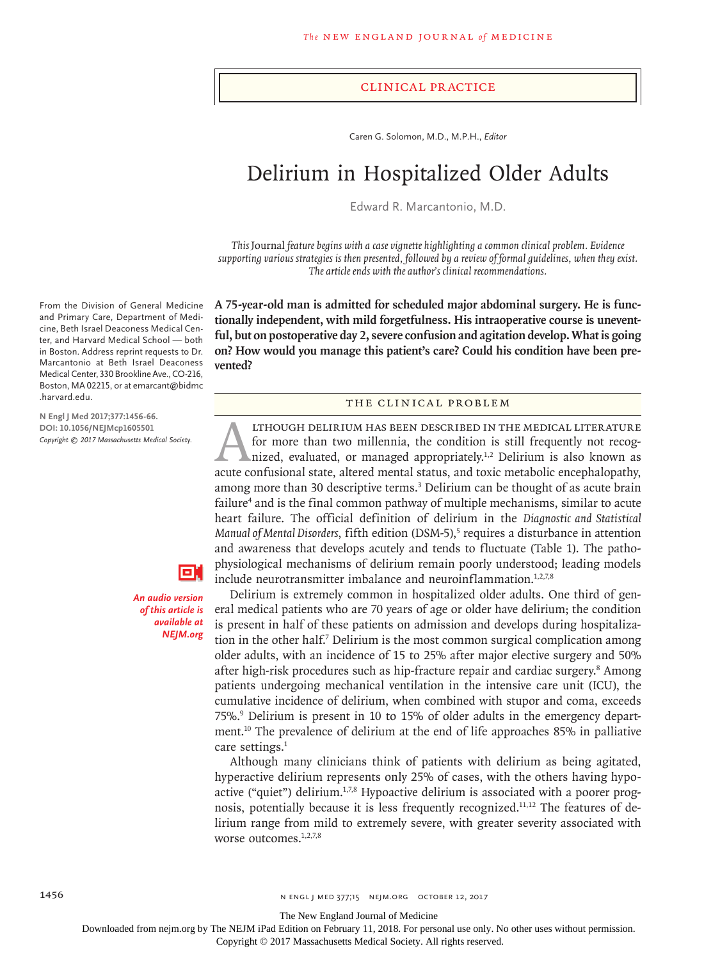#### Clinical Practice

Caren G. Solomon, M.D., M.P.H., *Editor*

# Delirium in Hospitalized Older Adults

Edward R. Marcantonio, M.D.

*This* Journal *feature begins with a case vignette highlighting a common clinical problem. Evidence supporting various strategies is then presented, followed by a review of formal guidelines, when they exist. The article ends with the author's clinical recommendations.*

**A 75-year-old man is admitted for scheduled major abdominal surgery. He is functionally independent, with mild forgetfulness. His intraoperative course is uneventful, but on postoperative day 2, severe confusion and agitation develop. What is going on? How would you manage this patient's care? Could his condition have been prevented?**

## The Clinical Problem

THOUGH DELIRIUM HAS BEEN DESCRIBED IN THE MEDICAL LITERATURE<br>for more than two millennia, the condition is still frequently not recog-<br>nized, evaluated, or managed appropriately.<sup>1,2</sup> Delirium is also known as<br>acute confus for more than two millennia, the condition is still frequently not recognized, evaluated, or managed appropriately.<sup>1,2</sup> Delirium is also known as acute confusional state, altered mental status, and toxic metabolic encephalopathy, among more than 30 descriptive terms.<sup>3</sup> Delirium can be thought of as acute brain failure<sup>4</sup> and is the final common pathway of multiple mechanisms, similar to acute heart failure. The official definition of delirium in the *Diagnostic and Statistical*  Manual of Mental Disorders, fifth edition (DSM-5),<sup>5</sup> requires a disturbance in attention and awareness that develops acutely and tends to fluctuate (Table 1). The pathophysiological mechanisms of delirium remain poorly understood; leading models include neurotransmitter imbalance and neuroinflammation. $1,2,7,8$ 

Delirium is extremely common in hospitalized older adults. One third of general medical patients who are 70 years of age or older have delirium; the condition is present in half of these patients on admission and develops during hospitalization in the other half.<sup>7</sup> Delirium is the most common surgical complication among older adults, with an incidence of 15 to 25% after major elective surgery and 50% after high-risk procedures such as hip-fracture repair and cardiac surgery.<sup>8</sup> Among patients undergoing mechanical ventilation in the intensive care unit (ICU), the cumulative incidence of delirium, when combined with stupor and coma, exceeds 75%.<sup>9</sup> Delirium is present in 10 to 15% of older adults in the emergency department.10 The prevalence of delirium at the end of life approaches 85% in palliative care settings.<sup>1</sup>

Although many clinicians think of patients with delirium as being agitated, hyperactive delirium represents only 25% of cases, with the others having hypoactive ("quiet") delirium.<sup>1,7,8</sup> Hypoactive delirium is associated with a poorer prognosis, potentially because it is less frequently recognized.11,12 The features of delirium range from mild to extremely severe, with greater severity associated with worse outcomes.<sup>1,2,7,8</sup>

From the Division of General Medicine and Primary Care, Department of Medicine, Beth Israel Deaconess Medical Center, and Harvard Medical School — both in Boston. Address reprint requests to Dr. Marcantonio at Beth Israel Deaconess Medical Center, 330 Brookline Ave., CO-216, Boston, MA 02215, or at emarcant@bidmc .harvard.edu.

**N Engl J Med 2017;377:1456-66. DOI: 10.1056/NEJMcp1605501** *Copyright © 2017 Massachusetts Medical Society.*



*An audio version of this article is available at NEJM.org*

The New England Journal of Medicine

Downloaded from nejm.org by The NEJM iPad Edition on February 11, 2018. For personal use only. No other uses without permission.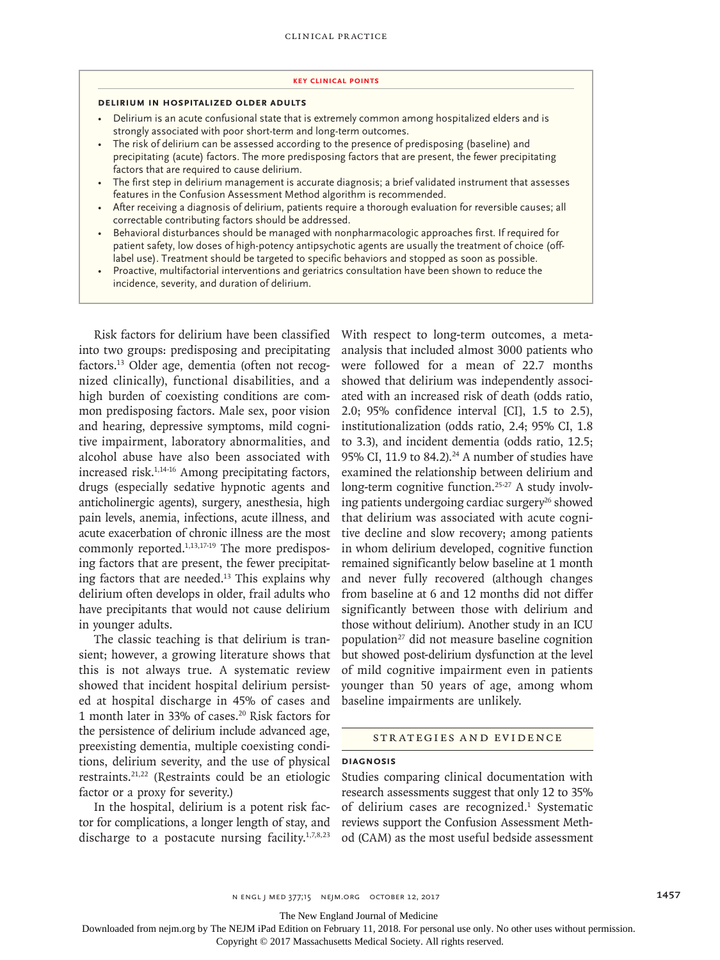#### **Key Clinical Points**

#### **Delirium in Hospitalized Older Adults**

- Delirium is an acute confusional state that is extremely common among hospitalized elders and is strongly associated with poor short-term and long-term outcomes.
- The risk of delirium can be assessed according to the presence of predisposing (baseline) and precipitating (acute) factors. The more predisposing factors that are present, the fewer precipitating factors that are required to cause delirium.
- The first step in delirium management is accurate diagnosis; a brief validated instrument that assesses features in the Confusion Assessment Method algorithm is recommended.
- After receiving a diagnosis of delirium, patients require a thorough evaluation for reversible causes; all correctable contributing factors should be addressed.
- Behavioral disturbances should be managed with nonpharmacologic approaches first. If required for patient safety, low doses of high-potency antipsychotic agents are usually the treatment of choice (offlabel use). Treatment should be targeted to specific behaviors and stopped as soon as possible.
- Proactive, multifactorial interventions and geriatrics consultation have been shown to reduce the incidence, severity, and duration of delirium.

Risk factors for delirium have been classified into two groups: predisposing and precipitating factors.<sup>13</sup> Older age, dementia (often not recognized clinically), functional disabilities, and a high burden of coexisting conditions are common predisposing factors. Male sex, poor vision and hearing, depressive symptoms, mild cognitive impairment, laboratory abnormalities, and alcohol abuse have also been associated with increased risk.1,14-16 Among precipitating factors, drugs (especially sedative hypnotic agents and anticholinergic agents), surgery, anesthesia, high pain levels, anemia, infections, acute illness, and acute exacerbation of chronic illness are the most commonly reported.<sup>1,13,17-19</sup> The more predisposing factors that are present, the fewer precipitating factors that are needed.<sup>13</sup> This explains why delirium often develops in older, frail adults who have precipitants that would not cause delirium in younger adults.

The classic teaching is that delirium is transient; however, a growing literature shows that this is not always true. A systematic review showed that incident hospital delirium persisted at hospital discharge in 45% of cases and 1 month later in 33% of cases.20 Risk factors for the persistence of delirium include advanced age, preexisting dementia, multiple coexisting conditions, delirium severity, and the use of physical restraints.21,22 (Restraints could be an etiologic factor or a proxy for severity.)

In the hospital, delirium is a potent risk factor for complications, a longer length of stay, and discharge to a postacute nursing facility. $1,7,8,23$  With respect to long-term outcomes, a metaanalysis that included almost 3000 patients who were followed for a mean of 22.7 months showed that delirium was independently associated with an increased risk of death (odds ratio, 2.0; 95% confidence interval [CI], 1.5 to 2.5), institutionalization (odds ratio, 2.4; 95% CI, 1.8 to 3.3), and incident dementia (odds ratio, 12.5; 95% CI, 11.9 to  $84.2$ ).<sup>24</sup> A number of studies have examined the relationship between delirium and long-term cognitive function.<sup>25-27</sup> A study involving patients undergoing cardiac surgery<sup>26</sup> showed that delirium was associated with acute cognitive decline and slow recovery; among patients in whom delirium developed, cognitive function remained significantly below baseline at 1 month and never fully recovered (although changes from baseline at 6 and 12 months did not differ significantly between those with delirium and those without delirium). Another study in an ICU population27 did not measure baseline cognition but showed post-delirium dysfunction at the level of mild cognitive impairment even in patients younger than 50 years of age, among whom baseline impairments are unlikely.

#### Strategies and Evidence

## **Diagnosis**

Studies comparing clinical documentation with research assessments suggest that only 12 to 35% of delirium cases are recognized.<sup>1</sup> Systematic reviews support the Confusion Assessment Method (CAM) as the most useful bedside assessment

n engl j med 377;15 nejm.org October 12, 2017 1457

The New England Journal of Medicine

Downloaded from nejm.org by The NEJM iPad Edition on February 11, 2018. For personal use only. No other uses without permission.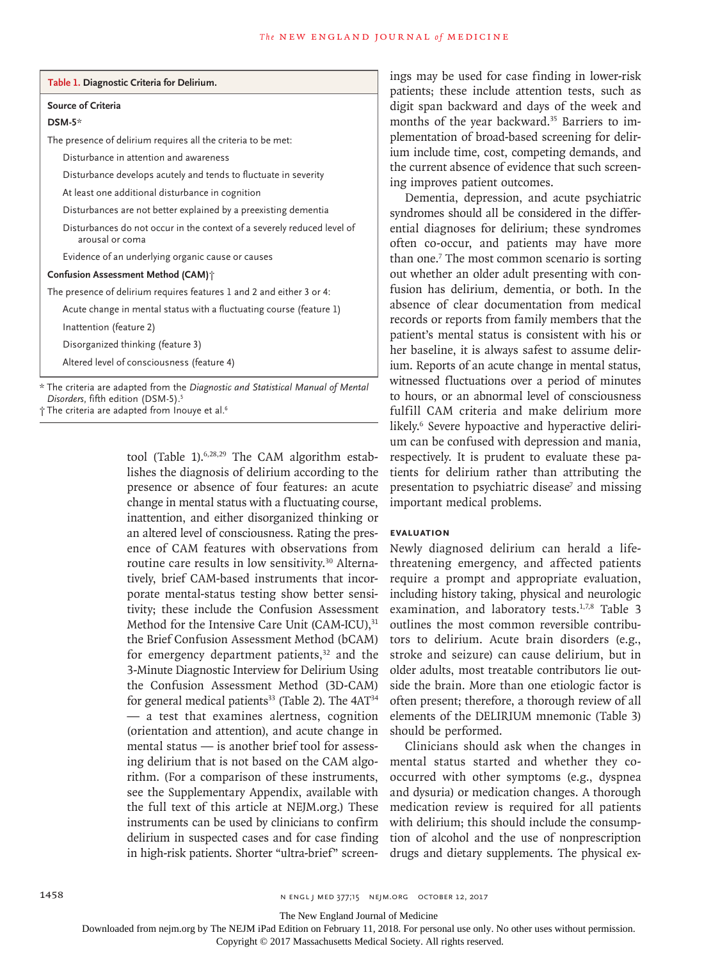| <b>Source of Criteria</b><br>$DSM-5*$                                                      |
|--------------------------------------------------------------------------------------------|
|                                                                                            |
|                                                                                            |
| The presence of delirium requires all the criteria to be met:                              |
| Disturbance in attention and awareness                                                     |
| Disturbance develops acutely and tends to fluctuate in severity                            |
| At least one additional disturbance in cognition                                           |
| Disturbances are not better explained by a preexisting dementia                            |
| Disturbances do not occur in the context of a severely reduced level of<br>arousal or coma |
| Evidence of an underlying organic cause or causes                                          |
| Confusion Assessment Method (CAM) +                                                        |
| The presence of delirium requires features 1 and 2 and either 3 or 4:                      |
| Acute change in mental status with a fluctuating course (feature 1)                        |
| Inattention (feature 2)                                                                    |
| Disorganized thinking (feature 3)                                                          |
| Altered level of consciousness (feature 4)                                                 |

*Disorders*, fifth edition (DSM-5).5

† The criteria are adapted from Inouye et al.6

tool (Table 1).6,28,29 The CAM algorithm establishes the diagnosis of delirium according to the presence or absence of four features: an acute change in mental status with a fluctuating course, inattention, and either disorganized thinking or an altered level of consciousness. Rating the presence of CAM features with observations from routine care results in low sensitivity.<sup>30</sup> Alternatively, brief CAM-based instruments that incorporate mental-status testing show better sensitivity; these include the Confusion Assessment Method for the Intensive Care Unit (CAM-ICU), 31 the Brief Confusion Assessment Method (bCAM) for emergency department patients, $32$  and the 3-Minute Diagnostic Interview for Delirium Using the Confusion Assessment Method (3D-CAM) for general medical patients<sup>33</sup> (Table 2). The  $4AT^{34}$ — a test that examines alertness, cognition (orientation and attention), and acute change in mental status — is another brief tool for assessing delirium that is not based on the CAM algorithm. (For a comparison of these instruments, see the Supplementary Appendix, available with the full text of this article at NEJM.org.) These instruments can be used by clinicians to confirm delirium in suspected cases and for case finding in high-risk patients. Shorter "ultra-brief" screenis may be used for case finding in lower-risk tients; these include attention tests, such as it span backward and days of the week and nths of the year backward.<sup>35</sup> Barriers to immentation of broad-based screening for delirin include time, cost, competing demands, and current absence of evidence that such screenimproves patient outcomes.

Dementia, depression, and acute psychiatric dromes should all be considered in the differial diagnoses for delirium; these syndromes en co-occur, and patients may have more than one.7 The most common scenario is sorting whether an older adult presenting with conion has delirium, dementia, or both. In the ence of clear documentation from medical ords or reports from family members that the tient's mental status is consistent with his or baseline, it is always safest to assume delirn. Reports of an acute change in mental status, nessed fluctuations over a period of minutes to hours, or an abnormal level of consciousness fulfill CAM criteria and make delirium more likely.<sup>6</sup> Severe hypoactive and hyperactive delirium can be confused with depression and mania, respectively. It is prudent to evaluate these patients for delirium rather than attributing the presentation to psychiatric disease<sup>7</sup> and missing important medical problems.

# **Evaluation**

Newly diagnosed delirium can herald a lifethreatening emergency, and affected patients require a prompt and appropriate evaluation, including history taking, physical and neurologic examination, and laboratory tests.<sup>1,7,8</sup> Table 3 outlines the most common reversible contributors to delirium. Acute brain disorders (e.g., stroke and seizure) can cause delirium, but in older adults, most treatable contributors lie outside the brain. More than one etiologic factor is often present; therefore, a thorough review of all elements of the DELIRIUM mnemonic (Table 3) should be performed.

Clinicians should ask when the changes in mental status started and whether they cooccurred with other symptoms (e.g., dyspnea and dysuria) or medication changes. A thorough medication review is required for all patients with delirium; this should include the consumption of alcohol and the use of nonprescription drugs and dietary supplements. The physical ex-

The New England Journal of Medicine

Downloaded from nejm.org by The NEJM iPad Edition on February 11, 2018. For personal use only. No other uses without permission.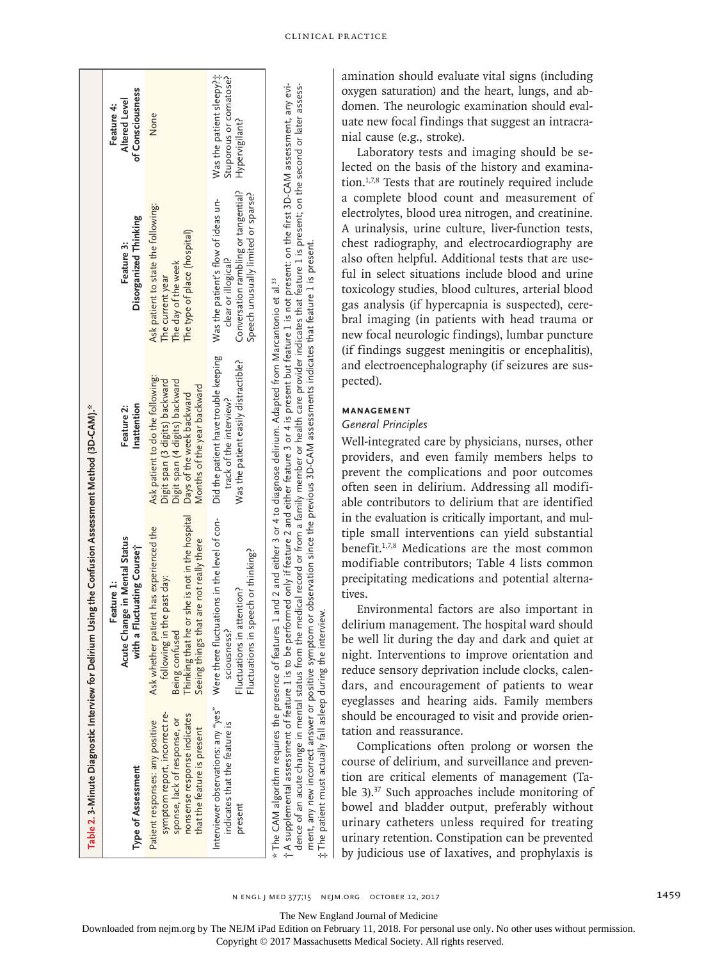|                                                                                                                                                                | Table 2. 3-Minute Diagnostic Interview for Delirium Using the Confusion Assessment Method (3D-CAM)."                                                                                                                                                                                                                                             |                                                                                                                                                                  |                                                                                                                                           |                                                                       |
|----------------------------------------------------------------------------------------------------------------------------------------------------------------|--------------------------------------------------------------------------------------------------------------------------------------------------------------------------------------------------------------------------------------------------------------------------------------------------------------------------------------------------|------------------------------------------------------------------------------------------------------------------------------------------------------------------|-------------------------------------------------------------------------------------------------------------------------------------------|-----------------------------------------------------------------------|
| Type of Assessment                                                                                                                                             | Acute Change in Mental Status<br>with a Fluctuating Course;<br>Feature 1:                                                                                                                                                                                                                                                                        | Inattention<br>Feature 2:                                                                                                                                        | Disorganized Thinking<br>Feature 3:                                                                                                       | of Consciousness<br>Altered Level<br>Feature 4:                       |
| symptom report, incorrect re-<br>nonsense response indicates<br>sponse, lack of response, or<br>Patient responses: any positive<br>that the feature is present | Thinking that he or she is not in the hospital<br>Ask whether patient has experienced the<br>Seeing things that are not really there<br>in the past day:<br>Being confused<br>following                                                                                                                                                          | Ask patient to do the following:<br>Digit span (3 digits) backward<br>Digit span (4 digits) backward<br>Months of the year backward<br>Days of the week backward | Ask patient to state the following:<br>The type of place (hospital)<br>The day of the week<br>The current year                            | None                                                                  |
| Interviewer observations: any "yes"<br>indicates that the feature is<br>present                                                                                | Were there fluctuations in the level of con-<br>Fluctuations in speech or thinking?<br>Fluctuations in attention?<br>sciousness?                                                                                                                                                                                                                 | Did the patient have trouble keeping<br>Was the patient easily distractible?<br>track of the interview?                                                          | Conversation rambling or tangential?<br>Speech unusually limited or sparse?<br>Was the patient's flow of ideas un-<br>clear or illogical? | Was the patient sleepy?i:<br>Stuporous or comatose?<br>Hypervigilant? |
|                                                                                                                                                                | t A supplemental assessment of feature 1 is to be performed only if feature 2 and either feature 3 or 4 is present but feature 1 is not present: on the first 3D-CAM assessment, any evi-<br>* The CAM algorithm requires the presence of features 1 and 2 and either 3 or 4 to diagnose delirium. Adapted from Marcantonio et al. <sup>33</sup> |                                                                                                                                                                  |                                                                                                                                           |                                                                       |

dence of an acute change in mental status from the medical record or from a family member or health care provider indicates that feature 1 is present; on the second or later assessdence of an acute change in mental status from the medical record or from a family member or health care provider indicates that feature 1 is present; on the second or later assessactive of the action of the product of the product of the product of the product of the product of the passes of the factors that feature 1 is present.<br>The patient must actually fall asleep during the interview.<br>The patien ment, any new incorrect answer or positive symptom or observation since the previous 3D-CAM assessments indicates that feature 1 is present. The patient must actually fall asleep during the interview.

amination should evaluate vital signs (including oxygen saturation) and the heart, lungs, and abdomen. The neurologic examination should evaluate new focal findings that suggest an intracranial cause (e.g., stroke).

Laboratory tests and imaging should be selected on the basis of the history and examination.1,7,8 Tests that are routinely required include a complete blood count and measurement of electrolytes, blood urea nitrogen, and creatinine. A urinalysis, urine culture, liver-function tests, chest radiography, and electrocardiography are also often helpful. Additional tests that are useful in select situations include blood and urine toxicology studies, blood cultures, arterial blood gas analysis (if hypercapnia is suspected), cerebral imaging (in patients with head trauma or new focal neurologic findings), lumbar puncture (if findings suggest meningitis or encephalitis), and electroencephalography (if seizures are suspected).

# **Management**

# *General Principles*

Well-integrated care by physicians, nurses, other providers, and even family members helps to prevent the complications and poor outcomes often seen in delirium. Addressing all modifiable contributors to delirium that are identified in the evaluation is critically important, and multiple small interventions can yield substantial benefit.1,7,8 Medications are the most common modifiable contributors; Table 4 lists common precipitating medications and potential alternatives.

Environmental factors are also important in delirium management. The hospital ward should be well lit during the day and dark and quiet at night. Interventions to improve orientation and reduce sensory deprivation include clocks, calendars, and encouragement of patients to wear eyeglasses and hearing aids. Family members should be encouraged to visit and provide orientation and reassurance.

Complications often prolong or worsen the course of delirium, and surveillance and prevention are critical elements of management (Table 3).<sup>37</sup> Such approaches include monitoring of bowel and bladder output, preferably without urinary catheters unless required for treating urinary retention. Constipation can be prevented by judicious use of laxatives, and prophylaxis is

‡

The New England Journal of Medicine

Downloaded from nejm.org by The NEJM iPad Edition on February 11, 2018. For personal use only. No other uses without permission.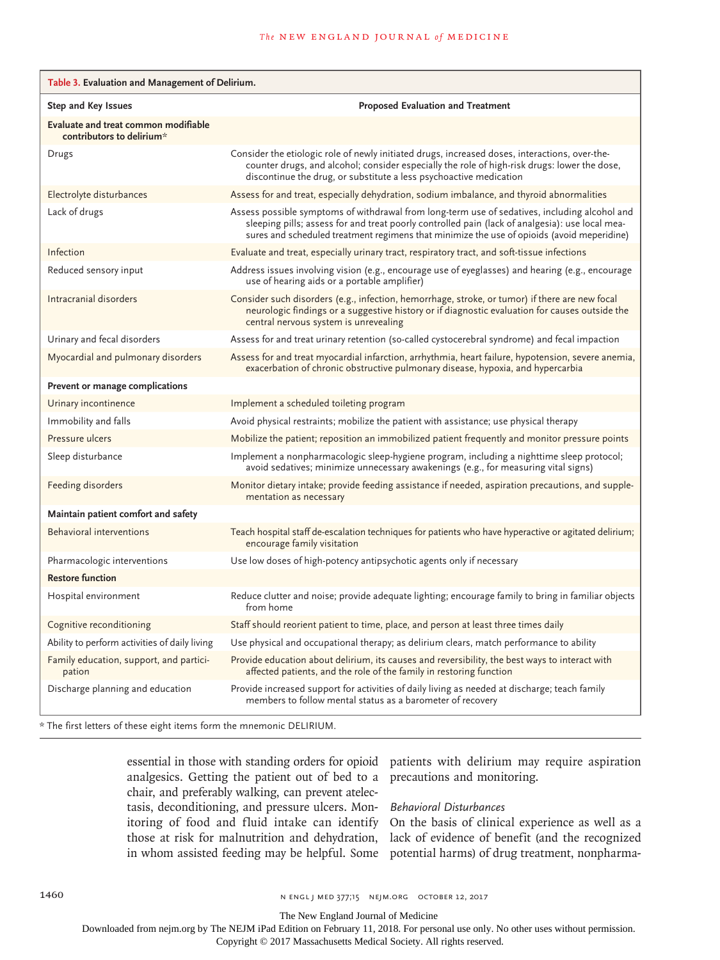| Table 3. Evaluation and Management of Delirium.                   |                                                                                                                                                                                                                                                                                                |
|-------------------------------------------------------------------|------------------------------------------------------------------------------------------------------------------------------------------------------------------------------------------------------------------------------------------------------------------------------------------------|
| Step and Key Issues                                               | <b>Proposed Evaluation and Treatment</b>                                                                                                                                                                                                                                                       |
| Evaluate and treat common modifiable<br>contributors to delirium* |                                                                                                                                                                                                                                                                                                |
| Drugs                                                             | Consider the etiologic role of newly initiated drugs, increased doses, interactions, over-the-<br>counter drugs, and alcohol; consider especially the role of high-risk drugs: lower the dose,<br>discontinue the drug, or substitute a less psychoactive medication                           |
| Electrolyte disturbances                                          | Assess for and treat, especially dehydration, sodium imbalance, and thyroid abnormalities                                                                                                                                                                                                      |
| Lack of drugs                                                     | Assess possible symptoms of withdrawal from long-term use of sedatives, including alcohol and<br>sleeping pills; assess for and treat poorly controlled pain (lack of analgesia): use local mea-<br>sures and scheduled treatment regimens that minimize the use of opioids (avoid meperidine) |
| Infection                                                         | Evaluate and treat, especially urinary tract, respiratory tract, and soft-tissue infections                                                                                                                                                                                                    |
| Reduced sensory input                                             | Address issues involving vision (e.g., encourage use of eyeglasses) and hearing (e.g., encourage<br>use of hearing aids or a portable amplifier)                                                                                                                                               |
| Intracranial disorders                                            | Consider such disorders (e.g., infection, hemorrhage, stroke, or tumor) if there are new focal<br>neurologic findings or a suggestive history or if diagnostic evaluation for causes outside the<br>central nervous system is unrevealing                                                      |
| Urinary and fecal disorders                                       | Assess for and treat urinary retention (so-called cystocerebral syndrome) and fecal impaction                                                                                                                                                                                                  |
| Myocardial and pulmonary disorders                                | Assess for and treat myocardial infarction, arrhythmia, heart failure, hypotension, severe anemia,<br>exacerbation of chronic obstructive pulmonary disease, hypoxia, and hypercarbia                                                                                                          |
| Prevent or manage complications                                   |                                                                                                                                                                                                                                                                                                |
| Urinary incontinence                                              | Implement a scheduled toileting program                                                                                                                                                                                                                                                        |
| Immobility and falls                                              | Avoid physical restraints; mobilize the patient with assistance; use physical therapy                                                                                                                                                                                                          |
| Pressure ulcers                                                   | Mobilize the patient; reposition an immobilized patient frequently and monitor pressure points                                                                                                                                                                                                 |
| Sleep disturbance                                                 | Implement a nonpharmacologic sleep-hygiene program, including a nighttime sleep protocol;<br>avoid sedatives; minimize unnecessary awakenings (e.g., for measuring vital signs)                                                                                                                |
| Feeding disorders                                                 | Monitor dietary intake; provide feeding assistance if needed, aspiration precautions, and supple-<br>mentation as necessary                                                                                                                                                                    |
| Maintain patient comfort and safety                               |                                                                                                                                                                                                                                                                                                |
| <b>Behavioral interventions</b>                                   | Teach hospital staff de-escalation techniques for patients who have hyperactive or agitated delirium;<br>encourage family visitation                                                                                                                                                           |
| Pharmacologic interventions                                       | Use low doses of high-potency antipsychotic agents only if necessary                                                                                                                                                                                                                           |
| <b>Restore function</b>                                           |                                                                                                                                                                                                                                                                                                |
| Hospital environment                                              | Reduce clutter and noise; provide adequate lighting; encourage family to bring in familiar objects<br>from home                                                                                                                                                                                |
| Cognitive reconditioning                                          | Staff should reorient patient to time, place, and person at least three times daily                                                                                                                                                                                                            |
| Ability to perform activities of daily living                     | Use physical and occupational therapy; as delirium clears, match performance to ability                                                                                                                                                                                                        |
| Family education, support, and partici-<br>pation                 | Provide education about delirium, its causes and reversibility, the best ways to interact with<br>affected patients, and the role of the family in restoring function                                                                                                                          |
| Discharge planning and education                                  | Provide increased support for activities of daily living as needed at discharge; teach family<br>members to follow mental status as a barometer of recovery                                                                                                                                    |

\* The first letters of these eight items form the mnemonic DELIRIUM.

essential in those with standing orders for opioid analgesics. Getting the patient out of bed to a chair, and preferably walking, can prevent atelectasis, deconditioning, and pressure ulcers. Monitoring of food and fluid intake can identify those at risk for malnutrition and dehydration, in whom assisted feeding may be helpful. Some potential harms) of drug treatment, nonpharma-

patients with delirium may require aspiration precautions and monitoring.

# *Behavioral Disturbances*

On the basis of clinical experience as well as a lack of evidence of benefit (and the recognized

1460 **n ENGL J MED 377;15 NEJM.ORG OCTOBER 12, 2017** 

The New England Journal of Medicine

Downloaded from nejm.org by The NEJM iPad Edition on February 11, 2018. For personal use only. No other uses without permission.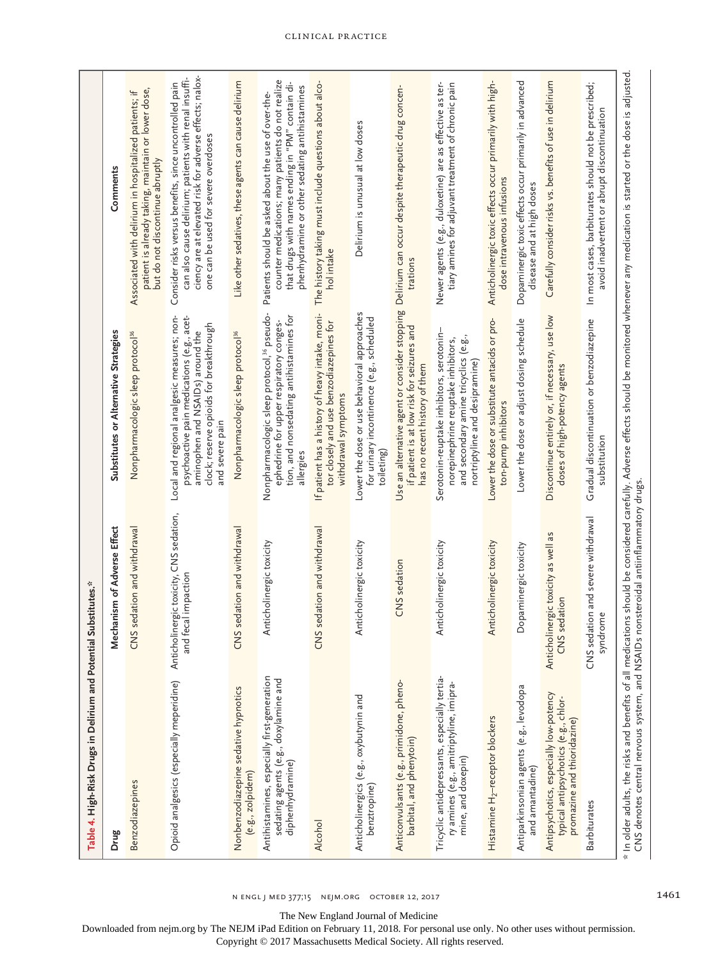| Table 4. High-Risk Drugs in Delirium and Potential                                                             | Substitutes.*                                                     |                                                                                                                                                                                             |                                                                                                                                                                                                                     |
|----------------------------------------------------------------------------------------------------------------|-------------------------------------------------------------------|---------------------------------------------------------------------------------------------------------------------------------------------------------------------------------------------|---------------------------------------------------------------------------------------------------------------------------------------------------------------------------------------------------------------------|
| Drug                                                                                                           | Mechanism of Adverse Effect                                       | Substitutes or Alternative Strategies                                                                                                                                                       | Comments                                                                                                                                                                                                            |
| <b>Benzodiazepines</b>                                                                                         | CNS sedation and withdrawal                                       | Nonpharmacologic sleep protocol <sup>36</sup>                                                                                                                                               | patient is already taking, maintain or lower dose,<br>Associated with delirium in hospitalized patients; if<br>but do not discontinue abruptly                                                                      |
| Opioid analgesics (especially meperidine)                                                                      | Anticholinergic toxicity, CNS sedation,<br>fecal impaction<br>and | Local and regional analgesic measures; non-<br>psychoactive pain medications (e.g., acet-<br>clock; reserve opioids for breakthrough<br>aminophen and NSAIDs) around the<br>and severe pair | ciency are at elevated risk for adverse effects; nalox-<br>Consider risks versus benefits, since uncontrolled pain<br>can also cause delirium; patients with renal insuffi-<br>one can be used for severe overdoses |
| Nonbenzodiazepine sedative hypnotics<br>(e.g., zolpidem)                                                       | S sedation and withdrawal<br>3                                    | Nonpharmacologic sleep protocol <sup>36</sup>                                                                                                                                               | Like other sedatives, these agents can cause delirium                                                                                                                                                               |
| Antihistamines, especially first-generation<br>sedating agents (e.g., doxylamine and<br>diphenhydramine)       | Anticholinergic toxicity                                          | Nonpharmacologic sleep protocol, <sup>36</sup> pseudo-<br>tion, and nonsedating antihistamines for<br>ephedrine for upper respiratory conges-<br>allergies                                  | counter medications; many patients do not realize<br>that drugs with names ending in "PM" contain di-<br>phenhydramine or other sedating antihistamines<br>Patients should be asked about the use of over-the-      |
| Alcohol                                                                                                        | S sedation and withdrawal<br>š                                    | If patient has a history of heavy intake, moni-<br>tor closely and use benzodiazepines for<br>withdrawal symptoms                                                                           | The history taking must include questions about alco-<br>hol intake                                                                                                                                                 |
| Anticholinergics (e.g., oxybutynin and<br>benztropine)                                                         | Anticholinergic toxicity                                          | Lower the dose or use behavioral approaches<br>for urinary incontinence (e.g., scheduled<br>toileting                                                                                       | Delirium is unusual at low doses                                                                                                                                                                                    |
| Anticonvulsants (e.g., primidone, pheno-<br>barbital, and phenytoin)                                           | CNS sedation                                                      | Use an alternative agent or consider stopping<br>if patient is at low risk for seizures and<br>has no recent history of them                                                                | Delirium can occur despite therapeutic drug concen-<br>trations                                                                                                                                                     |
| Tricyclic antidepressants, especially tertia-<br>ry amines (e.g., amitriptyline, imipra-<br>mine, and doxepin) | Anticholinergic toxicity                                          | Serotonin-reuptake inhibitors, serotonin-<br>and secondary amine tricyclics (e.g.<br>norepinephrine reuptake inhibitors,<br>nortriptyline and desipramine)                                  | Newer agents (e.g., duloxetine) are as effective as ter-<br>tiary amines for adjuvant treatment of chronic pain                                                                                                     |
| Histamine H <sub>2</sub> -receptor blockers                                                                    | Anticholinergic toxicity                                          | Lower the dose or substitute antacids or pro-<br>ton-pump inhibitors                                                                                                                        | Anticholinergic toxic effects occur primarily with high-<br>dose intravenous infusions                                                                                                                              |
| Antiparkinsonian agents (e.g., levodopa<br>and amantadine)                                                     | Dopaminergic toxicity                                             | Lower the dose or adjust dosing schedule                                                                                                                                                    | Dopaminergic toxic effects occur primarily in advanced<br>disease and at high doses                                                                                                                                 |
| Antipsychotics, especially low-potency<br>typical antipsychotics (e.g., chlor-<br>promazine and thioridazine)  | Anticholinergic toxicity as well as<br>CNS sedation               | Discontinue entirely or, if necessary, use low<br>oses of high-potency agents                                                                                                               | Carefully consider risks vs. benefits of use in delirium                                                                                                                                                            |
| <b>Barbiturates</b>                                                                                            | CNS sedation and severe withdrawal<br>syndrome                    | Gradual discontinuation or benzodiazepine<br>substitution                                                                                                                                   | In most cases, barbiturates should not be prescribed;<br>avoid inadvertent or abrupt discontinuation                                                                                                                |
| CNS denotes central nervous system, and NSAIDs                                                                 | nonsteroidal antiinflammatory drugs.                              |                                                                                                                                                                                             | * In older adults, the risks and benefits of all medications should be considered carefully. Adverse effects should be monitored whenever any medication is started or the dose is adjusted                         |

The New England Journal of Medicine

Downloaded from nejm.org by The NEJM iPad Edition on February 11, 2018. For personal use only. No other uses without permission.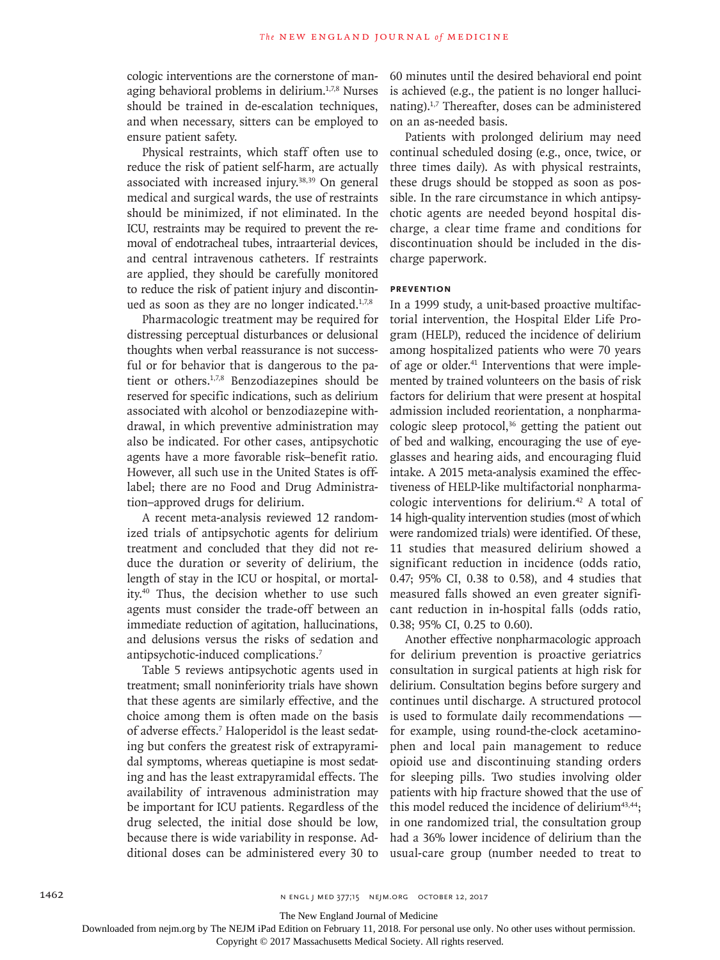cologic interventions are the cornerstone of managing behavioral problems in delirium.<sup>1,7,8</sup> Nurses should be trained in de-escalation techniques, and when necessary, sitters can be employed to ensure patient safety.

Physical restraints, which staff often use to reduce the risk of patient self-harm, are actually associated with increased injury.38,39 On general medical and surgical wards, the use of restraints should be minimized, if not eliminated. In the ICU, restraints may be required to prevent the removal of endotracheal tubes, intraarterial devices, and central intravenous catheters. If restraints are applied, they should be carefully monitored to reduce the risk of patient injury and discontinued as soon as they are no longer indicated. $1,7,8$ 

Pharmacologic treatment may be required for distressing perceptual disturbances or delusional thoughts when verbal reassurance is not successful or for behavior that is dangerous to the patient or others.<sup>1,7,8</sup> Benzodiazepines should be reserved for specific indications, such as delirium associated with alcohol or benzodiazepine withdrawal, in which preventive administration may also be indicated. For other cases, antipsychotic agents have a more favorable risk–benefit ratio. However, all such use in the United States is offlabel; there are no Food and Drug Administration–approved drugs for delirium.

A recent meta-analysis reviewed 12 randomized trials of antipsychotic agents for delirium treatment and concluded that they did not reduce the duration or severity of delirium, the length of stay in the ICU or hospital, or mortality.40 Thus, the decision whether to use such agents must consider the trade-off between an immediate reduction of agitation, hallucinations, and delusions versus the risks of sedation and antipsychotic-induced complications.7

Table 5 reviews antipsychotic agents used in treatment; small noninferiority trials have shown that these agents are similarly effective, and the choice among them is often made on the basis of adverse effects.<sup>7</sup> Haloperidol is the least sedating but confers the greatest risk of extrapyramidal symptoms, whereas quetiapine is most sedating and has the least extrapyramidal effects. The availability of intravenous administration may be important for ICU patients. Regardless of the drug selected, the initial dose should be low, because there is wide variability in response. Additional doses can be administered every 30 to

60 minutes until the desired behavioral end point is achieved (e.g., the patient is no longer hallucinating).1,7 Thereafter, doses can be administered on an as-needed basis.

Patients with prolonged delirium may need continual scheduled dosing (e.g., once, twice, or three times daily). As with physical restraints, these drugs should be stopped as soon as possible. In the rare circumstance in which antipsychotic agents are needed beyond hospital discharge, a clear time frame and conditions for discontinuation should be included in the discharge paperwork.

## **Prevention**

In a 1999 study, a unit-based proactive multifactorial intervention, the Hospital Elder Life Program (HELP), reduced the incidence of delirium among hospitalized patients who were 70 years of age or older.<sup>41</sup> Interventions that were implemented by trained volunteers on the basis of risk factors for delirium that were present at hospital admission included reorientation, a nonpharmacologic sleep protocol,<sup>36</sup> getting the patient out of bed and walking, encouraging the use of eyeglasses and hearing aids, and encouraging fluid intake. A 2015 meta-analysis examined the effectiveness of HELP-like multifactorial nonpharmacologic interventions for delirium.42 A total of 14 high-quality intervention studies (most of which were randomized trials) were identified. Of these, 11 studies that measured delirium showed a significant reduction in incidence (odds ratio, 0.47; 95% CI, 0.38 to 0.58), and 4 studies that measured falls showed an even greater significant reduction in in-hospital falls (odds ratio, 0.38; 95% CI, 0.25 to 0.60).

Another effective nonpharmacologic approach for delirium prevention is proactive geriatrics consultation in surgical patients at high risk for delirium. Consultation begins before surgery and continues until discharge. A structured protocol is used to formulate daily recommendations for example, using round-the-clock acetaminophen and local pain management to reduce opioid use and discontinuing standing orders for sleeping pills. Two studies involving older patients with hip fracture showed that the use of this model reduced the incidence of delirium<sup>43,44</sup>; in one randomized trial, the consultation group had a 36% lower incidence of delirium than the usual-care group (number needed to treat to

The New England Journal of Medicine

Downloaded from nejm.org by The NEJM iPad Edition on February 11, 2018. For personal use only. No other uses without permission.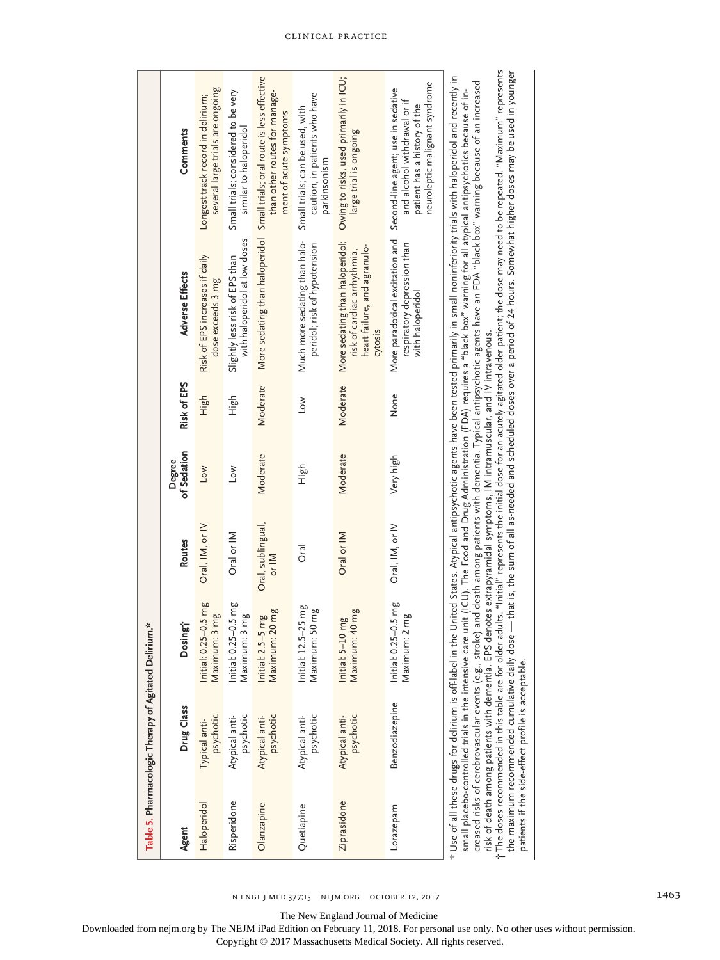|             | Table 5. Pharmacologic Therapy of Agitated Delirium.*                                                                                                     |                                                                                                                        |                                    |                       |             |                                                                                                           |                                                                                                                                                                                                                                                                                                                                                                                                                                                                                                                                                                                                                                                                                                                                                                                                                                                                        |
|-------------|-----------------------------------------------------------------------------------------------------------------------------------------------------------|------------------------------------------------------------------------------------------------------------------------|------------------------------------|-----------------------|-------------|-----------------------------------------------------------------------------------------------------------|------------------------------------------------------------------------------------------------------------------------------------------------------------------------------------------------------------------------------------------------------------------------------------------------------------------------------------------------------------------------------------------------------------------------------------------------------------------------------------------------------------------------------------------------------------------------------------------------------------------------------------------------------------------------------------------------------------------------------------------------------------------------------------------------------------------------------------------------------------------------|
| Agent       | Drug Class                                                                                                                                                | Dosing <sup>-</sup>                                                                                                    | Routes                             | of Sedation<br>Degree | Risk of EPS | <b>Adverse Effects</b>                                                                                    | Comments                                                                                                                                                                                                                                                                                                                                                                                                                                                                                                                                                                                                                                                                                                                                                                                                                                                               |
| Haloperidol | psychotic<br>Typical anti-                                                                                                                                | Initial: 0.25-0.5 mg<br>Maximum: 3 mg                                                                                  | $Oral,$ $IM,$ or $IV$              | Low                   | High        | Risk of EPS increases if daily<br>dose exceeds 3 mg                                                       | several large trials are ongoing<br>Longest track record in delirium;                                                                                                                                                                                                                                                                                                                                                                                                                                                                                                                                                                                                                                                                                                                                                                                                  |
| Risperidone | psychotic<br>Atypical anti-                                                                                                                               | Initial: 0.25-0.5 mg<br>Maximum: 3 mg                                                                                  | Oral or IM                         | Low                   | 다.<br>도     | with haloperidol at low doses<br>Slightly less risk of EPS than                                           | Small trials; considered to be very<br>similar to haloperidol                                                                                                                                                                                                                                                                                                                                                                                                                                                                                                                                                                                                                                                                                                                                                                                                          |
| Olanzapine  | Atypical anti-<br>psychotic                                                                                                                               | :20mg<br>Initial: 2.5-5 mg<br>Maximum:                                                                                 | Oral, sublingual,<br>$\frac{1}{2}$ | Moderate              | Moderate    | More sedating than haloperidol                                                                            | Small trials; oral route is less effective<br>than other routes for manage-<br>ment of acute symptoms                                                                                                                                                                                                                                                                                                                                                                                                                                                                                                                                                                                                                                                                                                                                                                  |
| Quetiapine  | psychotic<br>Atypical anti-                                                                                                                               | $5-25$ mg<br>: 50 mg<br>Maximum:<br>Initial: 12.5                                                                      | oral                               | ча!Н                  | $\sim$      | Much more sedating than halo-<br>peridol; risk of hypotension                                             | caution, in patients who have<br>Small trials; can be used, with<br>parkinsonism                                                                                                                                                                                                                                                                                                                                                                                                                                                                                                                                                                                                                                                                                                                                                                                       |
| Ziprasidone | psychotic<br>Atypical anti-                                                                                                                               | Maximum: 40 mg<br>Initial: 5-10 mg                                                                                     | Oral or IM                         | Moderate              | Moderate    | More sedating than haloperidol;<br>heart failure, and agranulo-<br>risk of cardiac arrhythmia,<br>cytosis | Owing to risks, used primarily in ICU;<br>large trial is ongoing                                                                                                                                                                                                                                                                                                                                                                                                                                                                                                                                                                                                                                                                                                                                                                                                       |
| Lorazepam   | <b>Benzodiazepine</b>                                                                                                                                     | Initial: 0.25-0.5 mg<br>$: 2 \, mg$<br>Maximum:                                                                        | Oral, IM, or IV                    | Very high             | None        | More paradoxical excitation and<br>respiratory depression than<br>with haloperidol                        | neuroleptic malignant syndrome<br>Second-line agent; use in sedative<br>patient has a history of the<br>and alcohol withdrawal or                                                                                                                                                                                                                                                                                                                                                                                                                                                                                                                                                                                                                                                                                                                                      |
|             | t The doses recommended in this table are for older<br>the maximum recommended cumulative daily dos<br>patients if the side-effect profile is acceptable. | risk of death among patients with dementia. EPS denotes extrapyramidal symptoms, IM intramuscular, and IV intravenous. |                                    |                       |             |                                                                                                           | adults. "Initial" represents the initial dose for an acutely agitated older patient; the dose may need to be repeated. "Maximum" represents<br>e — that is, the sum of all as-needed and scheduled doses over a period of 24 hours. Somewhat higher doses may be used in younger<br>* Use of all these drugs for delirium is off-label in the United States. Atypical antipsychotic agents have been tested primarily in small noninferiority trials with haloperidol and recently in<br>creased risks of cerebrovascular events (e.g., stroke) and death among patients with dementia. Typical antipsychotic agents have an FDA "black box" warning because of an increased<br>small placebo-controlled trials in the intensive care unit (ICU). The Food and Drug Administration (FDA) requires a "black box" warning for all atypical antipsychotics because of in- |

n engl j med 377;15 nejm.org October 12, 2017 1463

The New England Journal of Medicine

Downloaded from nejm.org by The NEJM iPad Edition on February 11, 2018. For personal use only. No other uses without permission.

Copyright © 2017 Massachusetts Medical Society. All rights reserved.

Clinical Practice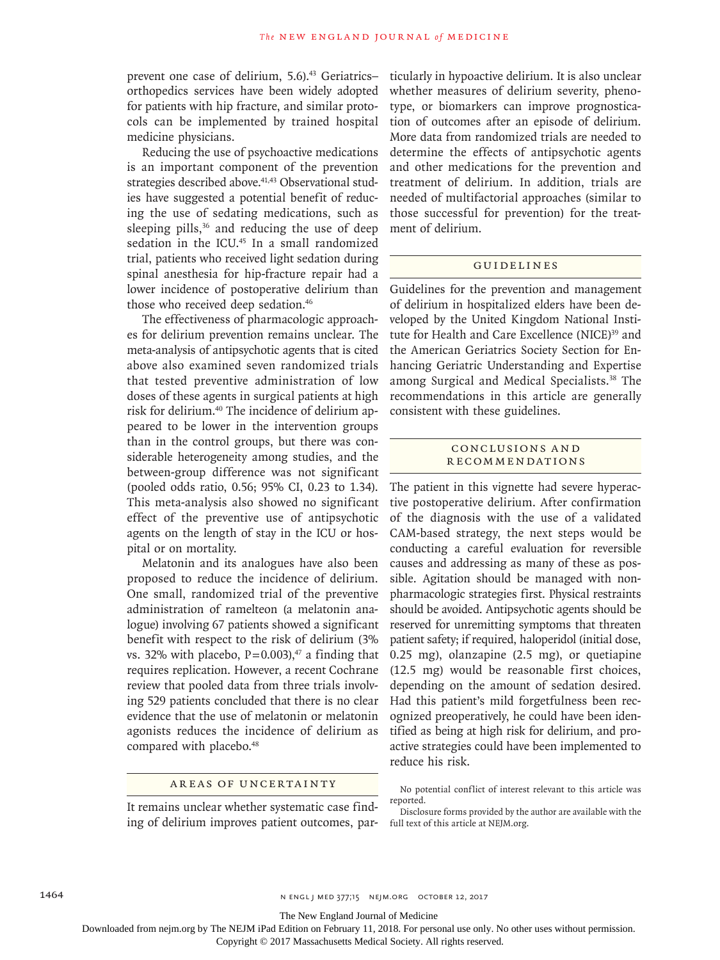prevent one case of delirium, 5.6).<sup>43</sup> Geriatricsorthopedics services have been widely adopted for patients with hip fracture, and similar protocols can be implemented by trained hospital medicine physicians.

Reducing the use of psychoactive medications is an important component of the prevention strategies described above.<sup>41,43</sup> Observational studies have suggested a potential benefit of reducing the use of sedating medications, such as sleeping pills, $36$  and reducing the use of deep sedation in the ICU.<sup>45</sup> In a small randomized trial, patients who received light sedation during spinal anesthesia for hip-fracture repair had a lower incidence of postoperative delirium than those who received deep sedation.<sup>46</sup>

The effectiveness of pharmacologic approaches for delirium prevention remains unclear. The meta-analysis of antipsychotic agents that is cited above also examined seven randomized trials that tested preventive administration of low doses of these agents in surgical patients at high risk for delirium.40 The incidence of delirium appeared to be lower in the intervention groups than in the control groups, but there was considerable heterogeneity among studies, and the between-group difference was not significant (pooled odds ratio, 0.56; 95% CI, 0.23 to 1.34). This meta-analysis also showed no significant effect of the preventive use of antipsychotic agents on the length of stay in the ICU or hospital or on mortality.

Melatonin and its analogues have also been proposed to reduce the incidence of delirium. One small, randomized trial of the preventive administration of ramelteon (a melatonin analogue) involving 67 patients showed a significant benefit with respect to the risk of delirium (3% vs. 32% with placebo,  $P=0.003$ , <sup>47</sup> a finding that requires replication. However, a recent Cochrane review that pooled data from three trials involving 529 patients concluded that there is no clear evidence that the use of melatonin or melatonin agonists reduces the incidence of delirium as compared with placebo.<sup>48</sup>

# Areas of Uncertainty

It remains unclear whether systematic case finding of delirium improves patient outcomes, particularly in hypoactive delirium. It is also unclear whether measures of delirium severity, phenotype, or biomarkers can improve prognostication of outcomes after an episode of delirium. More data from randomized trials are needed to determine the effects of antipsychotic agents and other medications for the prevention and treatment of delirium. In addition, trials are needed of multifactorial approaches (similar to those successful for prevention) for the treatment of delirium.

## Guidelines

Guidelines for the prevention and management of delirium in hospitalized elders have been developed by the United Kingdom National Institute for Health and Care Excellence (NICE)<sup>39</sup> and the American Geriatrics Society Section for Enhancing Geriatric Understanding and Expertise among Surgical and Medical Specialists.38 The recommendations in this article are generally consistent with these guidelines.

## Conclusions a nd Recommendations

The patient in this vignette had severe hyperactive postoperative delirium. After confirmation of the diagnosis with the use of a validated CAM-based strategy, the next steps would be conducting a careful evaluation for reversible causes and addressing as many of these as possible. Agitation should be managed with nonpharmacologic strategies first. Physical restraints should be avoided. Antipsychotic agents should be reserved for unremitting symptoms that threaten patient safety; if required, haloperidol (initial dose, 0.25 mg), olanzapine (2.5 mg), or quetiapine (12.5 mg) would be reasonable first choices, depending on the amount of sedation desired. Had this patient's mild forgetfulness been recognized preoperatively, he could have been identified as being at high risk for delirium, and proactive strategies could have been implemented to reduce his risk.

No potential conflict of interest relevant to this article was reported.

The New England Journal of Medicine

Downloaded from nejm.org by The NEJM iPad Edition on February 11, 2018. For personal use only. No other uses without permission.

Disclosure forms provided by the author are available with the full text of this article at NEJM.org.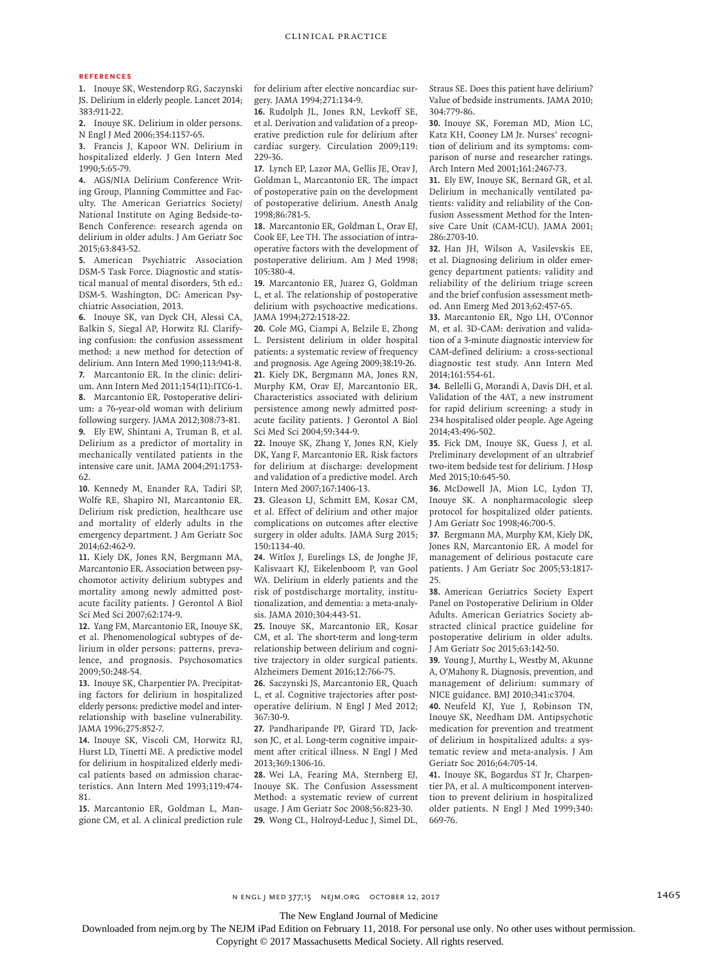#### **References**

**1.** Inouye SK, Westendorp RG, Saczynski JS. Delirium in elderly people. Lancet 2014; 383:911-22.

**2.** Inouye SK. Delirium in older persons. N Engl J Med 2006;354:1157-65.

**3.** Francis J, Kapoor WN. Delirium in hospitalized elderly. J Gen Intern Med 1990;5:65-79.

**4.** AGS/NIA Delirium Conference Writing Group, Planning Committee and Faculty. The American Geriatrics Society/ National Institute on Aging Bedside-to-Bench Conference: research agenda on delirium in older adults. J Am Geriatr Soc 2015;63:843-52.

**5.** American Psychiatric Association DSM-5 Task Force. Diagnostic and statistical manual of mental disorders, 5th ed.: DSM-5. Washington, DC: American Psychiatric Association, 2013.

**6.** Inouye SK, van Dyck CH, Alessi CA, Balkin S, Siegal AP, Horwitz RI. Clarifying confusion: the confusion assessment method: a new method for detection of delirium. Ann Intern Med 1990;113:941-8. **7.** Marcantonio ER. In the clinic: delirium. Ann Intern Med 2011;154(11):ITC6-1. **8.** Marcantonio ER. Postoperative delirium: a 76-year-old woman with delirium following surgery. JAMA 2012;308:73-81. **9.** Ely EW, Shintani A, Truman B, et al. Delirium as a predictor of mortality in mechanically ventilated patients in the intensive care unit. JAMA 2004;291:1753- 62.

**10.** Kennedy M, Enander RA, Tadiri SP, Wolfe RE, Shapiro NI, Marcantonio ER. Delirium risk prediction, healthcare use and mortality of elderly adults in the emergency department. J Am Geriatr Soc 2014;62:462-9.

**11.** Kiely DK, Jones RN, Bergmann MA, Marcantonio ER. Association between psychomotor activity delirium subtypes and mortality among newly admitted postacute facility patients. J Gerontol A Biol Sci Med Sci 2007;62:174-9.

**12.** Yang FM, Marcantonio ER, Inouye SK, et al. Phenomenological subtypes of delirium in older persons: patterns, prevalence, and prognosis. Psychosomatics 2009;50:248-54.

**13.** Inouye SK, Charpentier PA. Precipitating factors for delirium in hospitalized elderly persons: predictive model and interrelationship with baseline vulnerability. JAMA 1996;275:852-7.

**14.** Inouye SK, Viscoli CM, Horwitz RI, Hurst LD, Tinetti ME. A predictive model for delirium in hospitalized elderly medical patients based on admission characteristics. Ann Intern Med 1993;119:474- 81.

**15.** Marcantonio ER, Goldman L, Mangione CM, et al. A clinical prediction rule for delirium after elective noncardiac surgery. JAMA 1994;271:134-9.

**16.** Rudolph JL, Jones RN, Levkoff SE, et al. Derivation and validation of a preoperative prediction rule for delirium after cardiac surgery. Circulation 2009;119: 229-36.

**17.** Lynch EP, Lazor MA, Gellis JE, Orav J, Goldman L, Marcantonio ER. The impact of postoperative pain on the development of postoperative delirium. Anesth Analg 1998;86:781-5.

**18.** Marcantonio ER, Goldman L, Orav EJ, Cook EF, Lee TH. The association of intraoperative factors with the development of postoperative delirium. Am J Med 1998; 105:380-4.

**19.** Marcantonio ER, Juarez G, Goldman L, et al. The relationship of postoperative delirium with psychoactive medications. JAMA 1994;272:1518-22.

**20.** Cole MG, Ciampi A, Belzile E, Zhong L. Persistent delirium in older hospital patients: a systematic review of frequency and prognosis. Age Ageing 2009;38:19-26. **21.** Kiely DK, Bergmann MA, Jones RN, Murphy KM, Orav EJ, Marcantonio ER. Characteristics associated with delirium persistence among newly admitted postacute facility patients. J Gerontol A Biol Sci Med Sci 2004;59:344-9.

**22.** Inouye SK, Zhang Y, Jones RN, Kiely DK, Yang F, Marcantonio ER. Risk factors for delirium at discharge: development and validation of a predictive model. Arch Intern Med 2007;167:1406-13.

**23.** Gleason LJ, Schmitt EM, Kosar CM, et al. Effect of delirium and other major complications on outcomes after elective surgery in older adults. JAMA Surg 2015; 150:1134-40.

**24.** Witlox J, Eurelings LS, de Jonghe JF, Kalisvaart KJ, Eikelenboom P, van Gool WA. Delirium in elderly patients and the risk of postdischarge mortality, institutionalization, and dementia: a meta-analysis. JAMA 2010;304:443-51.

**25.** Inouye SK, Marcantonio ER, Kosar CM, et al. The short-term and long-term relationship between delirium and cognitive trajectory in older surgical patients. Alzheimers Dement 2016;12:766-75.

**26.** Saczynski JS, Marcantonio ER, Quach L, et al. Cognitive trajectories after postoperative delirium. N Engl J Med 2012; 367:30-9.

**27.** Pandharipande PP, Girard TD, Jackson JC, et al. Long-term cognitive impairment after critical illness. N Engl J Med 2013;369:1306-16.

**28.** Wei LA, Fearing MA, Sternberg EJ, Inouye SK. The Confusion Assessment Method: a systematic review of current usage. J Am Geriatr Soc 2008;56:823-30. **29.** Wong CL, Holroyd-Leduc J, Simel DL,

Straus SE. Does this patient have delirium? Value of bedside instruments. JAMA 2010; 304:779-86.

**30.** Inouye SK, Foreman MD, Mion LC, Katz KH, Cooney LM Jr. Nurses' recognition of delirium and its symptoms: comparison of nurse and researcher ratings. Arch Intern Med 2001;161:2467-73.

**31.** Ely EW, Inouye SK, Bernard GR, et al. Delirium in mechanically ventilated patients: validity and reliability of the Confusion Assessment Method for the Intensive Care Unit (CAM-ICU). JAMA 2001; 286:2703-10.

**32.** Han JH, Wilson A, Vasilevskis EE, et al. Diagnosing delirium in older emergency department patients: validity and reliability of the delirium triage screen and the brief confusion assessment method. Ann Emerg Med 2013;62:457-65.

**33.** Marcantonio ER, Ngo LH, O'Connor M, et al. 3D-CAM: derivation and validation of a 3-minute diagnostic interview for CAM-defined delirium: a cross-sectional diagnostic test study. Ann Intern Med 2014;161:554-61.

**34.** Bellelli G, Morandi A, Davis DH, et al. Validation of the 4AT, a new instrument for rapid delirium screening: a study in 234 hospitalised older people. Age Ageing 2014;43:496-502.

**35.** Fick DM, Inouye SK, Guess J, et al. Preliminary development of an ultrabrief two-item bedside test for delirium. J Hosp Med 2015;10:645-50.

**36.** McDowell JA, Mion LC, Lydon TJ, Inouye SK. A nonpharmacologic sleep protocol for hospitalized older patients. J Am Geriatr Soc 1998;46:700-5.

**37.** Bergmann MA, Murphy KM, Kiely DK, Jones RN, Marcantonio ER. A model for management of delirious postacute care patients. J Am Geriatr Soc 2005;53:1817- 25.

**38.** American Geriatrics Society Expert Panel on Postoperative Delirium in Older Adults. American Geriatrics Society abstracted clinical practice guideline for postoperative delirium in older adults. J Am Geriatr Soc 2015;63:142-50.

**39.** Young J, Murthy L, Westby M, Akunne A, O'Mahony R. Diagnosis, prevention, and management of delirium: summary of NICE guidance. BMJ 2010;341:c3704.

**40.** Neufeld KJ, Yue J, Robinson TN, Inouye SK, Needham DM. Antipsychotic medication for prevention and treatment of delirium in hospitalized adults: a systematic review and meta-analysis. J Am Geriatr Soc 2016;64:705-14.

**41.** Inouye SK, Bogardus ST Jr, Charpentier PA, et al. A multicomponent intervention to prevent delirium in hospitalized older patients. N Engl J Med 1999;340: 669-76.

The New England Journal of Medicine

Downloaded from nejm.org by The NEJM iPad Edition on February 11, 2018. For personal use only. No other uses without permission.